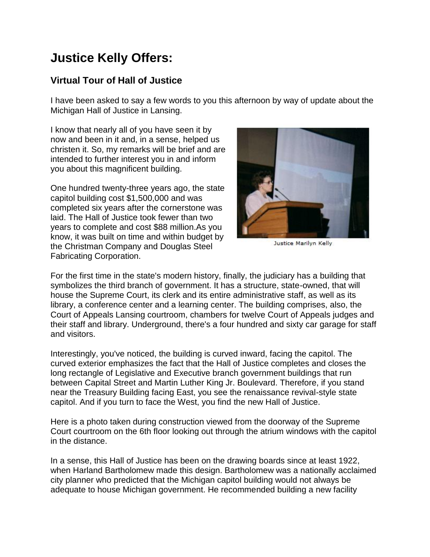## **Justice Kelly Offers:**

## **Virtual Tour of Hall of Justice**

I have been asked to say a few words to you this afternoon by way of update about the Michigan Hall of Justice in Lansing.

I know that nearly all of you have seen it by now and been in it and, in a sense, helped us christen it. So, my remarks will be brief and are intended to further interest you in and inform you about this magnificent building.

One hundred twenty-three years ago, the state capitol building cost \$1,500,000 and was completed six years after the cornerstone was laid. The Hall of Justice took fewer than two years to complete and cost \$88 million.As you know, it was built on time and within budget by the Christman Company and Douglas Steel Fabricating Corporation.



Justice Marilyn Kelly

For the first time in the state's modern history, finally, the judiciary has a building that symbolizes the third branch of government. It has a structure, state-owned, that will house the Supreme Court, its clerk and its entire administrative staff, as well as its library, a conference center and a learning center. The building comprises, also, the Court of Appeals Lansing courtroom, chambers for twelve Court of Appeals judges and their staff and library. Underground, there's a four hundred and sixty car garage for staff and visitors.

Interestingly, you've noticed, the building is curved inward, facing the capitol. The curved exterior emphasizes the fact that the Hall of Justice completes and closes the long rectangle of Legislative and Executive branch government buildings that run between Capital Street and Martin Luther King Jr. Boulevard. Therefore, if you stand near the Treasury Building facing East, you see the renaissance revival-style state capitol. And if you turn to face the West, you find the new Hall of Justice.

Here is a photo taken during construction viewed from the doorway of the Supreme Court courtroom on the 6th floor looking out through the atrium windows with the capitol in the distance.

In a sense, this Hall of Justice has been on the drawing boards since at least 1922, when Harland Bartholomew made this design. Bartholomew was a nationally acclaimed city planner who predicted that the Michigan capitol building would not always be adequate to house Michigan government. He recommended building a new facility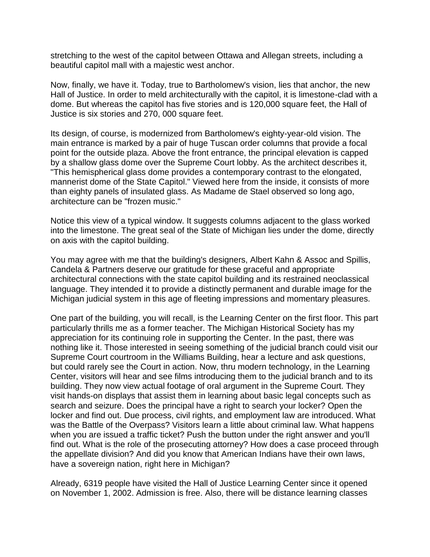stretching to the west of the capitol between Ottawa and Allegan streets, including a beautiful capitol mall with a majestic west anchor.

Now, finally, we have it. Today, true to Bartholomew's vision, lies that anchor, the new Hall of Justice. In order to meld architecturally with the capitol, it is limestone-clad with a dome. But whereas the capitol has five stories and is 120,000 square feet, the Hall of Justice is six stories and 270, 000 square feet.

Its design, of course, is modernized from Bartholomew's eighty-year-old vision. The main entrance is marked by a pair of huge Tuscan order columns that provide a focal point for the outside plaza. Above the front entrance, the principal elevation is capped by a shallow glass dome over the Supreme Court lobby. As the architect describes it, "This hemispherical glass dome provides a contemporary contrast to the elongated, mannerist dome of the State Capitol." Viewed here from the inside, it consists of more than eighty panels of insulated glass. As Madame de Stael observed so long ago, architecture can be "frozen music."

Notice this view of a typical window. It suggests columns adjacent to the glass worked into the limestone. The great seal of the State of Michigan lies under the dome, directly on axis with the capitol building.

You may agree with me that the building's designers, Albert Kahn & Assoc and Spillis, Candela & Partners deserve our gratitude for these graceful and appropriate architectural connections with the state capitol building and its restrained neoclassical language. They intended it to provide a distinctly permanent and durable image for the Michigan judicial system in this age of fleeting impressions and momentary pleasures.

One part of the building, you will recall, is the Learning Center on the first floor. This part particularly thrills me as a former teacher. The Michigan Historical Society has my appreciation for its continuing role in supporting the Center. In the past, there was nothing like it. Those interested in seeing something of the judicial branch could visit our Supreme Court courtroom in the Williams Building, hear a lecture and ask questions, but could rarely see the Court in action. Now, thru modern technology, in the Learning Center, visitors will hear and see films introducing them to the judicial branch and to its building. They now view actual footage of oral argument in the Supreme Court. They visit hands-on displays that assist them in learning about basic legal concepts such as search and seizure. Does the principal have a right to search your locker? Open the locker and find out. Due process, civil rights, and employment law are introduced. What was the Battle of the Overpass? Visitors learn a little about criminal law. What happens when you are issued a traffic ticket? Push the button under the right answer and you'll find out. What is the role of the prosecuting attorney? How does a case proceed through the appellate division? And did you know that American Indians have their own laws, have a sovereign nation, right here in Michigan?

Already, 6319 people have visited the Hall of Justice Learning Center since it opened on November 1, 2002. Admission is free. Also, there will be distance learning classes